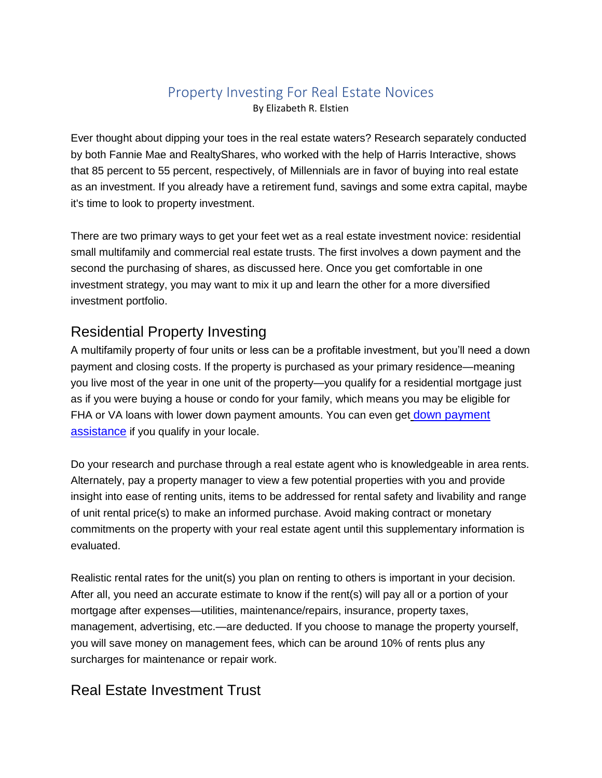# Property Investing For Real Estate Novices

By Elizabeth R. Elstien

Ever thought about dipping your toes in the real estate waters? Research separately conducted by both Fannie Mae and RealtyShares, who worked with the help of Harris Interactive, shows that 85 percent to 55 percent, respectively, of Millennials are in favor of buying into real estate as an investment. If you already have a retirement fund, savings and some extra capital, maybe it's time to look to property investment.

There are two primary ways to get your feet wet as a real estate investment novice: residential small multifamily and commercial real estate trusts. The first involves a down payment and the second the purchasing of shares, as discussed here. Once you get comfortable in one investment strategy, you may want to mix it up and learn the other for a more diversified investment portfolio.

## Residential Property Investing

A multifamily property of four units or less can be a profitable investment, but you'll need a down payment and closing costs. If the property is purchased as your primary residence—meaning you live most of the year in one unit of the property—you qualify for a residential mortgage just as if you were buying a house or condo for your family, which means you may be eligible for FHA or VA loans with lower [down payment](https://www.societyofgrownups.com/blog/become-a-homeowner-with-down-payment-assistance) amounts. You can even get down payment [assistance](https://www.societyofgrownups.com/blog/become-a-homeowner-with-down-payment-assistance) if you qualify in your locale.

Do your research and purchase through a real estate agent who is knowledgeable in area rents. Alternately, pay a property manager to view a few potential properties with you and provide insight into ease of renting units, items to be addressed for rental safety and livability and range of unit rental price(s) to make an informed purchase. Avoid making contract or monetary commitments on the property with your real estate agent until this supplementary information is evaluated.

Realistic rental rates for the unit(s) you plan on renting to others is important in your decision. After all, you need an accurate estimate to know if the rent(s) will pay all or a portion of your mortgage after expenses—utilities, maintenance/repairs, insurance, property taxes, management, advertising, etc.—are deducted. If you choose to manage the property yourself, you will save money on management fees, which can be around 10% of rents plus any surcharges for maintenance or repair work.

## Real Estate Investment Trust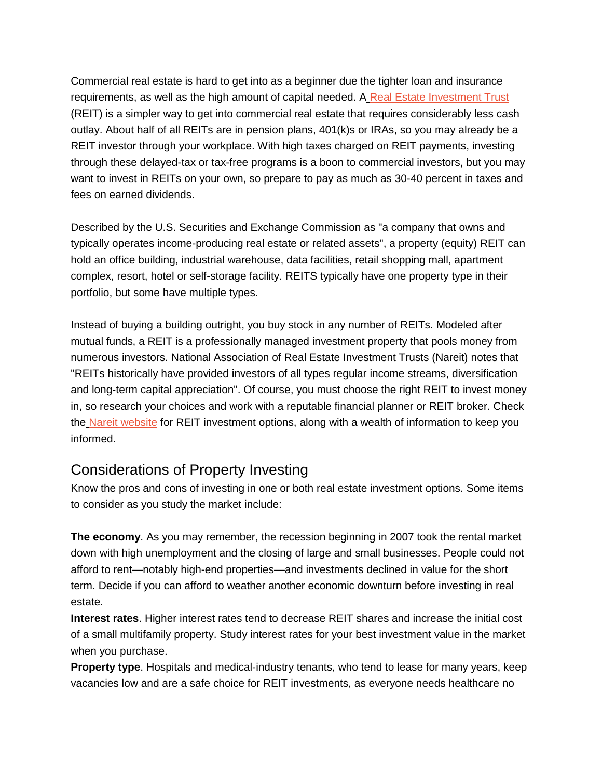Commercial real estate is hard to get into as a beginner due the tighter loan and insurance requirements, as well as the high amount of capital needed. A [Real Estate Investment Trust](https://www.investor.gov/introduction-investing/basics/investment-products/real-estate-investment-trusts-reits) (REIT) is a simpler way to get into commercial real estate that requires considerably less cash outlay. About half of all REITs are in pension plans, 401(k)s or IRAs, so you may already be a REIT investor through your workplace. With high taxes charged on REIT payments, investing through these delayed-tax or tax-free programs is a boon to commercial investors, but you may want to invest in REITs on your own, so prepare to pay as much as 30-40 percent in taxes and fees on earned dividends.

Described by the U.S. Securities and Exchange Commission as "a company that owns and typically operates income-producing real estate or related assets", a property (equity) REIT can hold an office building, industrial warehouse, data facilities, retail shopping mall, apartment complex, resort, hotel or self-storage facility. REITS typically have one property type in their portfolio, but some have multiple types.

Instead of buying a building outright, you buy stock in any number of REITs. Modeled after mutual funds, a REIT is a professionally managed investment property that pools money from numerous investors. National Association of Real Estate Investment Trusts (Nareit) notes that "REITs historically have provided investors of all types regular income streams, diversification and long-term capital appreciation". Of course, you must choose the right REIT to invest money in, so research your choices and work with a reputable financial planner or REIT broker. Check the [Nareit website](https://www.reit.com/investing/reit-directory) for REIT investment options, along with a wealth of information to keep you informed.

#### Considerations of Property Investing

Know the pros and cons of investing in one or both real estate investment options. Some items to consider as you study the market include:

**The economy**. As you may remember, the recession beginning in 2007 took the rental market down with high unemployment and the closing of large and small businesses. People could not afford to rent—notably high-end properties—and investments declined in value for the short term. Decide if you can afford to weather another economic downturn before investing in real estate.

**Interest rates**. Higher interest rates tend to decrease REIT shares and increase the initial cost of a small multifamily property. Study interest rates for your best investment value in the market when you purchase.

**Property type**. Hospitals and medical-industry tenants, who tend to lease for many years, keep vacancies low and are a safe choice for REIT investments, as everyone needs healthcare no